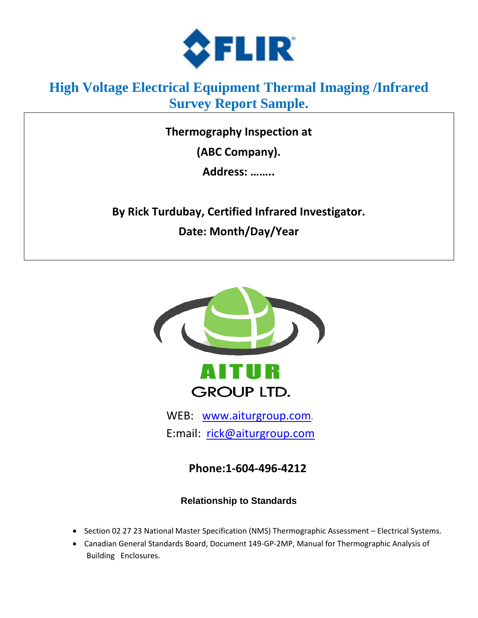

# **High Voltage Electrical Equipment Thermal Imaging /Infrared Survey Report Sample.**

**Thermography Inspection at**

**(ABC Company).** 

**Address: ……..**

**By Rick Turdubay, Certified Infrared Investigator. Date: Month/Day/Year**



 WEB: [www.aiturgroup.com.](http://www.aiturgroup.com/) E:mail: [rick@aiturgroup.com](mailto:rick@aiturgroup.com)

**Phone:1-604-496-4212**

# **Relationship to Standards**

- Section 02 27 23 National Master Specification (NMS) Thermographic Assessment Electrical Systems.
- Canadian General Standards Board, Document 149-GP-2MP, Manual for Thermographic Analysis of Building Enclosures.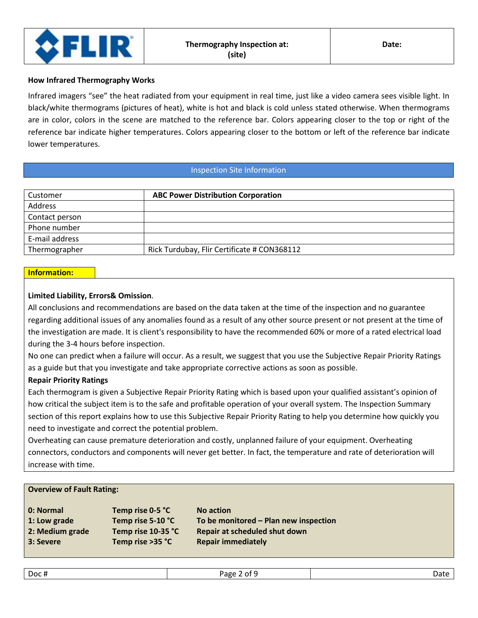

#### **How Infrared Thermography Works**

Infrared imagers "see" the heat radiated from your equipment in real time, just like a video camera sees visible light. In black/white thermograms (pictures of heat), white is hot and black is cold unless stated otherwise. When thermograms are in color, colors in the scene are matched to the reference bar. Colors appearing closer to the top or right of the reference bar indicate higher temperatures. Colors appearing closer to the bottom or left of the reference bar indicate lower temperatures.

### Inspection Site Information

| Customer       | <b>ABC Power Distribution Corporation</b>   |
|----------------|---------------------------------------------|
| Address        |                                             |
| Contact person |                                             |
| Phone number   |                                             |
| E-mail address |                                             |
| Thermographer  | Rick Turdubay, Flir Certificate # CON368112 |

### **Information:**

## **Limited Liability, Errors& Omission**.

All conclusions and recommendations are based on the data taken at the time of the inspection and no guarantee regarding additional issues of any anomalies found as a result of any other source present or not present at the time of the investigation are made. It is client's responsibility to have the recommended 60% or more of a rated electrical load during the 3-4 hours before inspection.

No one can predict when a failure will occur. As a result, we suggest that you use the Subjective Repair Priority Ratings as a guide but that you investigate and take appropriate corrective actions as soon as possible.

## **Repair Priority Ratings**

Each thermogram is given a Subjective Repair Priority Rating which is based upon your qualified assistant's opinion of how critical the subject item is to the safe and profitable operation of your overall system. The Inspection Summary section of this report explains how to use this Subjective Repair Priority Rating to help you determine how quickly you need to investigate and correct the potential problem.

Overheating can cause premature deterioration and costly, unplanned failure of your equipment. Overheating connectors, conductors and components will never get better. In fact, the temperature and rate of deterioration will increase with time.

#### **Overview of Fault Rating:**

| 0: Normal       | Temp rise 0-5 °C   | <b>No action</b>                      |
|-----------------|--------------------|---------------------------------------|
| 1: Low grade    | Temp rise 5-10 °C  | To be monitored - Plan new inspection |
| 2: Medium grade | Temp rise 10-35 °C | <b>Repair at scheduled shut down</b>  |
| 3: Severe       | Temp rise >35 °C   | <b>Repair immediately</b>             |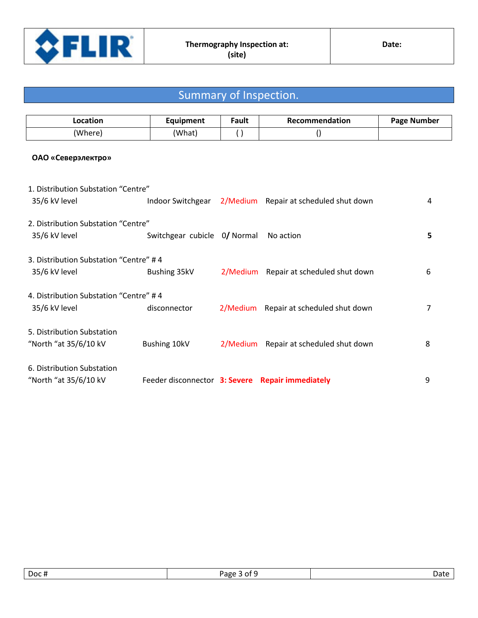

# Summary of Inspection.

| ∟ocation | Equipment | ∶ault | <b>Recommendation</b> | Page Number |
|----------|-----------|-------|-----------------------|-------------|
| 'Where)  | (What)    |       |                       |             |

# **ОАО «Северэлектро»**

| 1. Distribution Substation "Centre"    |                                                  |          |                                        |   |
|----------------------------------------|--------------------------------------------------|----------|----------------------------------------|---|
| 35/6 kV level                          | Indoor Switchgear 2/Medium                       |          | Repair at scheduled shut down          | 4 |
| 2. Distribution Substation "Centre"    |                                                  |          |                                        |   |
| 35/6 kV level                          | Switchgear cubicle 0/ Normal                     |          | No action                              | 5 |
| 3. Distribution Substation "Centre" #4 |                                                  |          |                                        |   |
| 35/6 kV level                          | Bushing 35kV                                     | 2/Medium | Repair at scheduled shut down          | 6 |
| 4. Distribution Substation "Centre" #4 |                                                  |          |                                        |   |
| 35/6 kV level                          | disconnector                                     |          | 2/Medium Repair at scheduled shut down | 7 |
| 5. Distribution Substation             |                                                  |          |                                        |   |
| "North "at 35/6/10 kV                  | Bushing 10kV                                     | 2/Medium | Repair at scheduled shut down          | 8 |
| 6. Distribution Substation             |                                                  |          |                                        |   |
| "North "at 35/6/10 kV                  | Feeder disconnector 3: Severe Repair immediately |          |                                        | 9 |
|                                        |                                                  |          |                                        |   |

| Doc# | n.<br>---<br>zape<br>$^{\prime}$ | . |
|------|----------------------------------|---|
|      |                                  |   |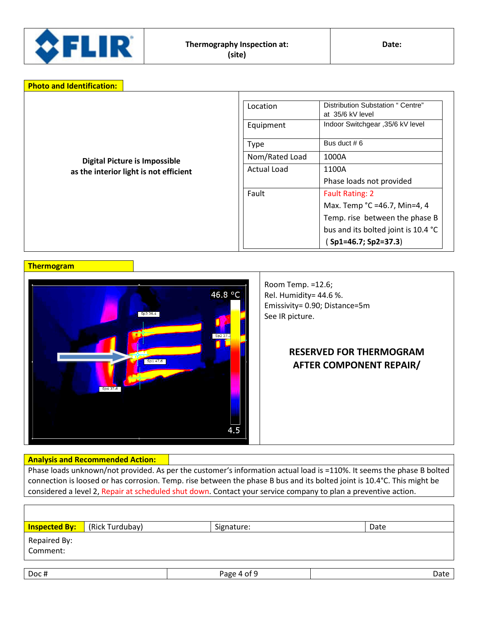

|                                        | Location<br>Equipment | Distribution Substation " Centre"<br>at 35/6 kV level<br>Indoor Switchgear , 35/6 kV level |
|----------------------------------------|-----------------------|--------------------------------------------------------------------------------------------|
|                                        | <b>Type</b>           | Bus duct $# 6$                                                                             |
| <b>Digital Picture is Impossible</b>   | Nom/Rated Load        | 1000A                                                                                      |
| as the interior light is not efficient | <b>Actual Load</b>    | 1100A                                                                                      |
|                                        |                       | Phase loads not provided                                                                   |
|                                        | Fault                 | <b>Fault Rating: 2</b>                                                                     |
|                                        |                       | Max. Temp °C =46.7, Min=4, 4                                                               |
|                                        |                       | Temp. rise between the phase B                                                             |
|                                        |                       | bus and its bolted joint is 10.4 °C                                                        |
|                                        |                       | $Sp1=46.7; Sp2=37.3$                                                                       |

#### **Thermogram**



# Rel. Humidity= 44.6 %. Emissivity= 0.90; Distance=5m See IR picture.

Room Temp. =12.6;

# **RESERVED FOR THERMOGRAM AFTER COMPONENT REPAIR/**

## **Analysis and Recommended Action:**

Phase loads unknown/not provided. As per the customer's information actual load is =110%. It seems the phase B bolted connection is loosed or has corrosion. Temp. rise between the phase B bus and its bolted joint is 10.4°C. This might be considered a level 2, Repair at scheduled shut down. Contact your service company to plan a preventive action.

|                          | <b>Inspected By:</b> (Rick Turdubay) | Signature:  | Date |
|--------------------------|--------------------------------------|-------------|------|
| Repaired By:<br>Comment: |                                      |             |      |
| Doc#                     |                                      | Page 4 of 9 | Date |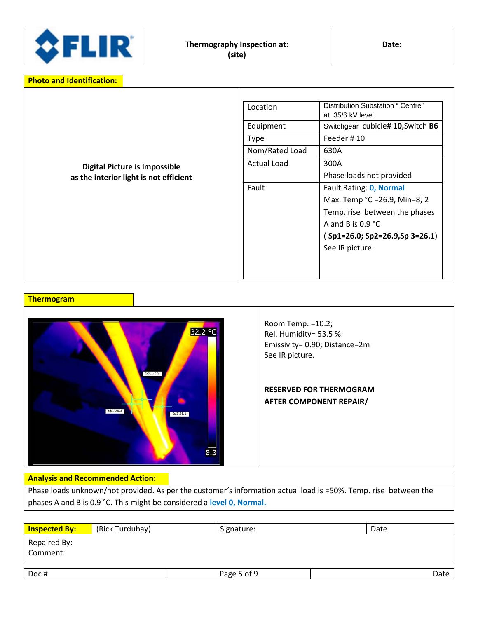

| <b>Digital Picture is Impossible</b><br>as the interior light is not efficient | Location<br>Equipment<br><b>Type</b><br>Nom/Rated Load<br><b>Actual Load</b><br>Fault | Distribution Substation " Centre"<br>at 35/6 kV level<br>Switchgear cubicle# 10, Switch B6<br>Feeder #10<br>630A<br>300A<br>Phase loads not provided<br>Fault Rating: 0, Normal<br>Max. Temp °C =26.9, Min=8, 2<br>Temp. rise between the phases<br>A and B is $0.9 \degree C$<br>Sp1=26.0; Sp2=26.9,Sp 3=26.1) |
|--------------------------------------------------------------------------------|---------------------------------------------------------------------------------------|-----------------------------------------------------------------------------------------------------------------------------------------------------------------------------------------------------------------------------------------------------------------------------------------------------------------|
|                                                                                |                                                                                       | See IR picture.                                                                                                                                                                                                                                                                                                 |

### **Thermogram**



Room Temp. =10.2; Rel. Humidity= 53.5 %. Emissivity= 0.90; Distance=2m See IR picture.

# **RESERVED FOR THERMOGRAM AFTER COMPONENT REPAIR/**

#### **Analysis and Recommended Action:**

Phase loads unknown/not provided. As per the customer's information actual load is =50%. Temp. rise between the phases A and B is 0.9 °C. This might be considered a **level 0, Normal.**

| <b>Inspected By:</b>     | (Rick Turdubay) | Signature:  | Date |
|--------------------------|-----------------|-------------|------|
| Repaired By:<br>Comment: |                 |             |      |
| Doc#                     |                 | Page 5 of 9 | Date |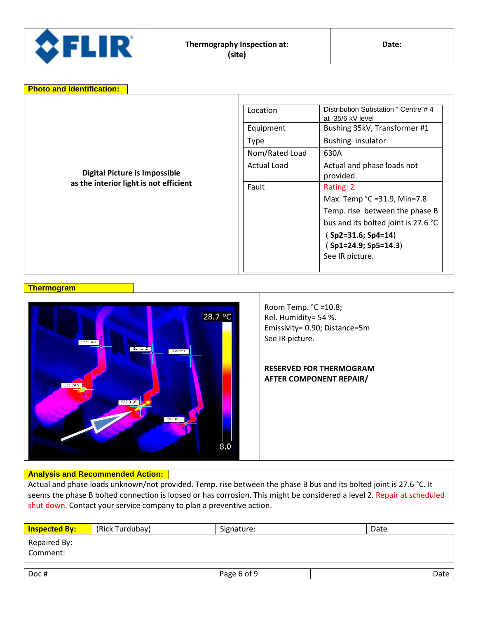

| <b>Photo and Identification:</b>       |                    |                                                          |
|----------------------------------------|--------------------|----------------------------------------------------------|
|                                        | Location           | Distribution Substation " Centre"# 4<br>at 35/6 kV level |
|                                        | Equipment          | Bushing 35kV, Transformer #1                             |
|                                        | <b>Type</b>        | Bushing insulator                                        |
|                                        | Nom/Rated Load     | 630A                                                     |
| <b>Digital Picture is Impossible</b>   | <b>Actual Load</b> | Actual and phase loads not<br>provided.                  |
| as the interior light is not efficient | Fault              | Rating: 2                                                |
|                                        |                    | Max. Temp °C =31.9, Min=7.8                              |
|                                        |                    | Temp. rise between the phase B                           |
|                                        |                    | bus and its bolted joint is 27.6 °C                      |
|                                        |                    | (Sp2=31.6; Sp4=14)                                       |
|                                        |                    | (Sp1=24.9; Sp5=14.3)                                     |
|                                        |                    | See IR picture.                                          |
|                                        |                    |                                                          |

**Thermogram**



# Room Temp. °C =10.8; Rel. Humidity= 54 %. Emissivity= 0.90; Distance=5m

# **RESERVED FOR THERMOGRAM AFTER COMPONENT REPAIR/**

# **Analysis and Recommended Action:**

Actual and phase loads unknown/not provided. Temp. rise between the phase B bus and its bolted joint is 27.6 °C. It seems the phase B bolted connection is loosed or has corrosion. This might be considered a level 2. Repair at scheduled shut down. Contact your service company to plan a preventive action.

| <b>Inspected By:</b>     | (Rick Turdubay) | Signature:  | Date |
|--------------------------|-----------------|-------------|------|
| Repaired By:<br>Comment: |                 |             |      |
| Doc#                     |                 | Page 6 of 9 | Date |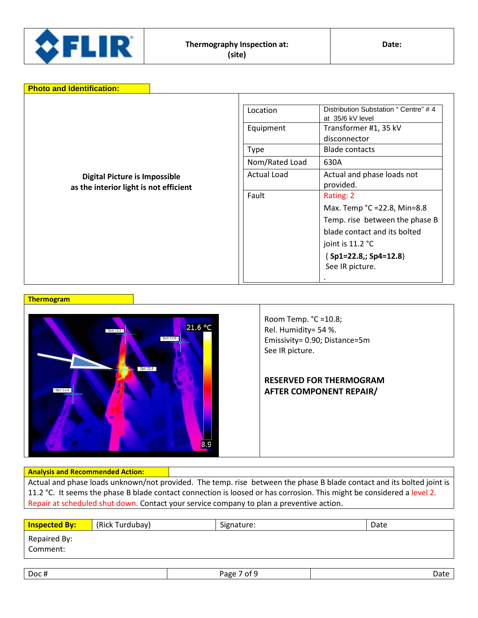

| <b>Photo and Identification:</b>                                               |                    |                                                          |
|--------------------------------------------------------------------------------|--------------------|----------------------------------------------------------|
|                                                                                | Location           | Distribution Substation " Centre" #4<br>at 35/6 kV level |
|                                                                                | Equipment          | Transformer #1, 35 kV<br>disconnector                    |
|                                                                                | Type               | <b>Blade contacts</b>                                    |
|                                                                                | Nom/Rated Load     | 630A                                                     |
| <b>Digital Picture is Impossible</b><br>as the interior light is not efficient | <b>Actual Load</b> | Actual and phase loads not<br>provided.                  |
|                                                                                | Fault              | Rating: 2                                                |
|                                                                                |                    | Max. Temp °C =22.8, Min=8.8                              |
|                                                                                |                    | Temp. rise between the phase B                           |
|                                                                                |                    | blade contact and its bolted                             |
|                                                                                |                    | joint is 11.2 °C                                         |
|                                                                                |                    | Sp1=22.8,; Sp4=12.8)                                     |
|                                                                                |                    | See IR picture.                                          |
|                                                                                |                    |                                                          |





Room Temp. °C =10.8; Rel. Humidity= 54 %. Emissivity= 0.90; Distance=5m See IR picture.

# **RESERVED FOR THERMOGRAM AFTER COMPONENT REPAIR/**

#### **Analysis and Recommended Action:**

Actual and phase loads unknown/not provided. The temp. rise between the phase B blade contact and its bolted joint is 11.2 °C. It seems the phase B blade contact connection is loosed or has corrosion. This might be considered a level 2. Repair at scheduled shut down. Contact your service company to plan a preventive action.

| <b>Inspected By:</b>     | (Rick Turdubay) | Signature: | Date |
|--------------------------|-----------------|------------|------|
| Repaired By:<br>Comment: |                 |            |      |
|                          |                 |            |      |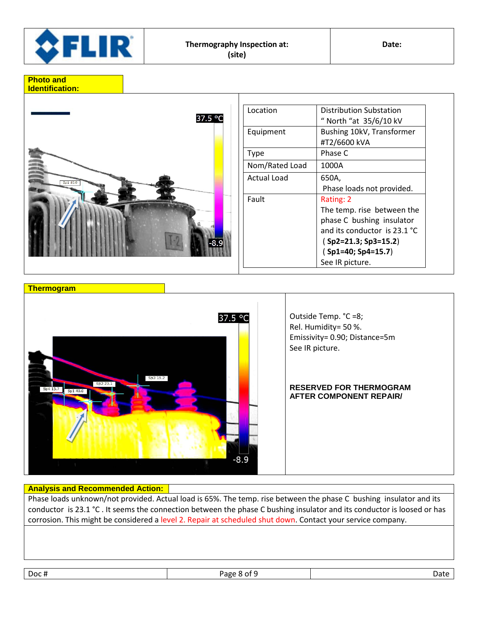



| Location       | Distribution Substation      |
|----------------|------------------------------|
|                | " North "at 35/6/10 kV       |
| Equipment      | Bushing 10kV, Transformer    |
|                | #T2/6600 kVA                 |
| <b>Type</b>    | Phase C                      |
| Nom/Rated Load | 1000A                        |
| Actual Load    | 650A,                        |
|                | Phase loads not provided.    |
| Fault          | Rating: 2                    |
|                | The temp. rise between the   |
|                | phase C bushing insulator    |
|                | and its conductor is 23.1 °C |
|                | $(Sp2=21.3; Sp3=15.2)$       |
|                | (Sp1=40; Sp4=15.7)           |
|                | See IR picture.              |



# **Analysis and Recommended Action:**

Phase loads unknown/not provided. Actual load is 65%. The temp. rise between the phase C bushing insulator and its conductor is 23.1 °C . It seems the connection between the phase C bushing insulator and its conductor is loosed or has corrosion. This might be considered a level 2. Repair at scheduled shut down. Contact your service company.